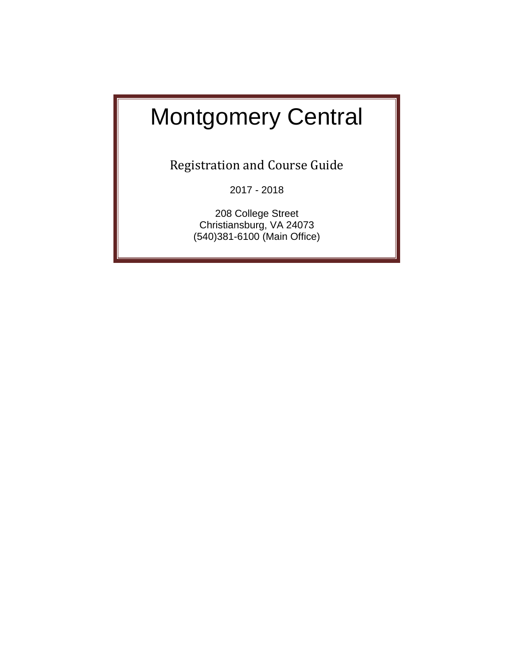# $\begin{array}{ccc} \hline \end{array}$ nmunikal mengemenyui opasidasi kalendar kalendar mengenai kalendar mengenai kalendar mengenai kalendar mengela<br>Kecamatan di kalendar mengenai kalendar mengenai kalendar mengenai kalendar mengenai kalendar mengenai kalenda Montgomery Central

types are supported to the sequence of the sequence of the sequence  $\frac{1}{2}$  are sequence of the sequence of the sequence of the sequence of the sequence of the sequence of the sequence of the sequence of the sequence of Registration and Course Guide

2017 - 2018

definition of  $\begin{array}{|c|c|c|}\n\hline\n\text{2017 - 2018}\n\hline\n\text{208 College Street}\n\hline\n\end{array}$ christiansburg, VA 24073<br>(540)381-6100 (Main Office) 208 College Street Christiansburg, VA 24073 (540)381-6100 (Main Office)

werty uitgestaan de deur de deur de deur de deur de deur de deur de deur de deur de deur de deur de deur de de<br>De deur de deur de deur de deur de deur de deur de deur de deur de deur de deur de deur de deur de deur de deu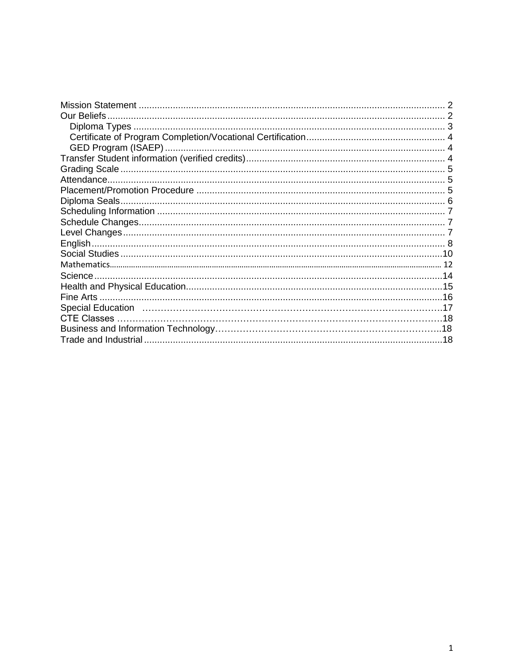| <b>Our Beliefs</b>                                                                                             |  |
|----------------------------------------------------------------------------------------------------------------|--|
| Diploma Types.                                                                                                 |  |
|                                                                                                                |  |
|                                                                                                                |  |
|                                                                                                                |  |
|                                                                                                                |  |
|                                                                                                                |  |
|                                                                                                                |  |
|                                                                                                                |  |
|                                                                                                                |  |
|                                                                                                                |  |
|                                                                                                                |  |
|                                                                                                                |  |
|                                                                                                                |  |
|                                                                                                                |  |
| Science.                                                                                                       |  |
|                                                                                                                |  |
|                                                                                                                |  |
| Special Education (and according to the control of the control of the special Education (and the special state |  |
| <b>CTE Classes</b>                                                                                             |  |
|                                                                                                                |  |
|                                                                                                                |  |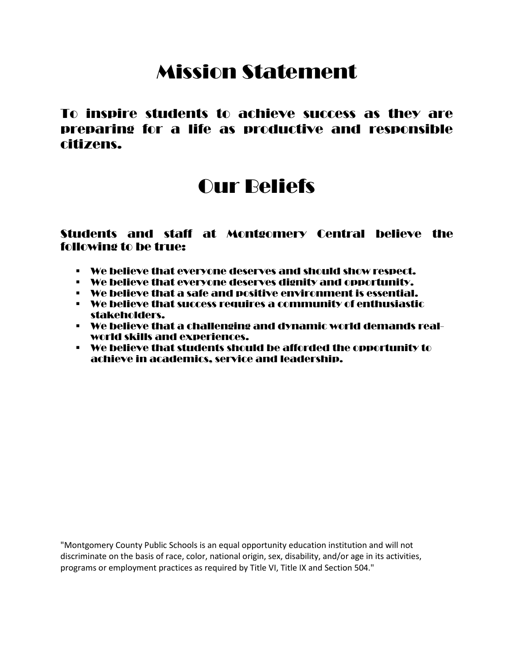# Mission Statement

<span id="page-2-0"></span>To inspire students to achieve success as they are preparing for a life as productive and responsible citizens.

# Our Beliefs

## <span id="page-2-1"></span>Students and staff at Montgomery Central believe the following to be true:

- We believe that everyone deserves and should show respect.
- We believe that everyone deserves dignity and opportunity.
- We believe that a safe and positive environment is essential.
- We believe that success requires a community of enthusiastic stakeholders.
- We believe that a challenging and dynamic world demands realworld skills and experiences.
- We believe that students should be afforded the opportunity to achieve in academics, service and leadership.

"Montgomery County Public Schools is an equal opportunity education institution and will not discriminate on the basis of race, color, national origin, sex, disability, and/or age in its activities, programs or employment practices as required by Title VI, Title IX and Section 504."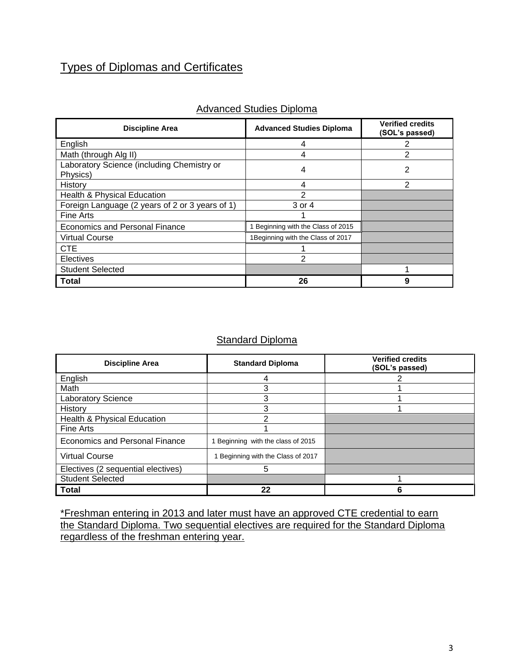# Types of Diplomas and Certificates

| <b>Discipline Area</b>                                 | <b>Advanced Studies Diploma</b>   | <b>Verified credits</b><br>(SOL's passed) |
|--------------------------------------------------------|-----------------------------------|-------------------------------------------|
| English                                                | 4                                 | 2                                         |
| Math (through Alg II)                                  | 4                                 | 2                                         |
| Laboratory Science (including Chemistry or<br>Physics) | 4                                 | 2                                         |
| History                                                | 4                                 | 2                                         |
| Health & Physical Education                            | 2                                 |                                           |
| Foreign Language (2 years of 2 or 3 years of 1)        | 3 or 4                            |                                           |
| Fine Arts                                              |                                   |                                           |
| Economics and Personal Finance                         | Beginning with the Class of 2015  |                                           |
| <b>Virtual Course</b>                                  | 1Beginning with the Class of 2017 |                                           |
| <b>CTE</b>                                             |                                   |                                           |
| <b>Electives</b>                                       | 2                                 |                                           |
| <b>Student Selected</b>                                |                                   |                                           |
| <b>Total</b>                                           | 26                                | 9                                         |

## Advanced Studies Diploma

## **Standard Diploma**

<span id="page-3-0"></span>

| <b>Discipline Area</b>                | <b>Standard Diploma</b>          | <b>Verified credits</b><br>(SOL's passed) |
|---------------------------------------|----------------------------------|-------------------------------------------|
| English                               |                                  |                                           |
| Math                                  |                                  |                                           |
| <b>Laboratory Science</b>             | 3                                |                                           |
| History                               | 3                                |                                           |
| Health & Physical Education           |                                  |                                           |
| Fine Arts                             |                                  |                                           |
| <b>Economics and Personal Finance</b> | Beginning with the class of 2015 |                                           |
| <b>Virtual Course</b>                 | Beginning with the Class of 2017 |                                           |
| Electives (2 sequential electives)    | 5                                |                                           |
| <b>Student Selected</b>               |                                  |                                           |
| <b>Total</b>                          | 22                               |                                           |

\*Freshman entering in 2013 and later must have an approved CTE credential to earn the Standard Diploma. Two sequential electives are required for the Standard Diploma regardless of the freshman entering year.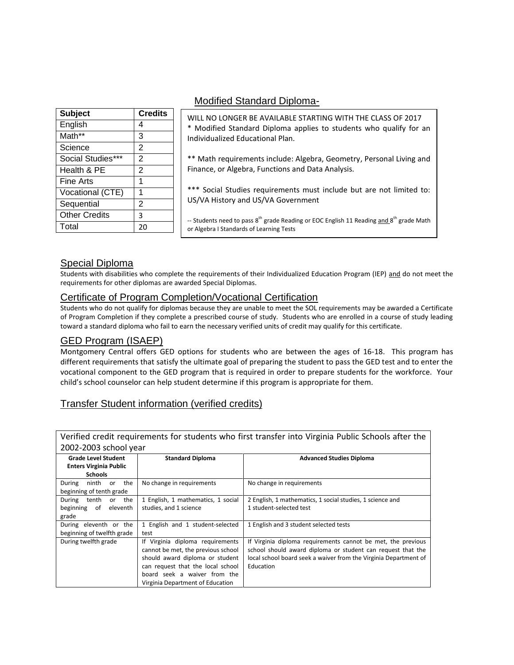| <b>Subject</b>       | <b>Credits</b> |
|----------------------|----------------|
| English              | 4              |
| Math**               | 3              |
| Science              | $\overline{2}$ |
| Social Studies***    | 2              |
| Health & PE          | $\overline{2}$ |
| <b>Fine Arts</b>     | 1              |
| Vocational (CTE)     | 1              |
| Sequential           | $\overline{2}$ |
| <b>Other Credits</b> | 3              |
| Total                | 20             |

## Modified Standard Diploma-

WILL NO LONGER BE AVAILABLE STARTING WITH THE CLASS OF 2017 \* Modified Standard Diploma applies to students who qualify for an Individualized Educational Plan.

\*\* Math requirements include: Algebra, Geometry, Personal Living and Finance, or Algebra, Functions and Data Analysis.

\*\*\* Social Studies requirements must include but are not limited to: US/VA History and US/VA Government

<span id="page-4-3"></span>-- Students need to pass 8<sup>th</sup> grade Reading or EOC English 11 Reading and 8<sup>th</sup> grade Math or Algebra I Standards of Learning Tests

## Special Diploma

Students with disabilities who complete the requirements of their Individualized Education Program (IEP) and do not meet the requirements for other diplomas are awarded Special Diplomas.

## <span id="page-4-0"></span>Certificate of Program Completion/Vocational Certification

Students who do not qualify for diplomas because they are unable to meet the SOL requirements may be awarded a Certificate of Program Completion if they complete a prescribed course of study. Students who are enrolled in a course of study leading toward a standard diploma who fail to earn the necessary verified units of credit may qualify for this certificate.

## <span id="page-4-1"></span>GED Program (ISAEP)

Montgomery Central offers GED options for students who are between the ages of 16-18. This program has different requirements that satisfy the ultimate goal of preparing the student to pass the GED test and to enter the vocational component to the GED program that is required in order to prepare students for the workforce. Your child's school counselor can help student determine if this program is appropriate for them.

## Transfer Student information (verified credits)

<span id="page-4-2"></span>

|                               |                                    | Verified credit requirements for students who first transfer into Virginia Public Schools after the |
|-------------------------------|------------------------------------|-----------------------------------------------------------------------------------------------------|
| 2002-2003 school year         |                                    |                                                                                                     |
| <b>Grade Level Student</b>    | <b>Standard Diploma</b>            | <b>Advanced Studies Diploma</b>                                                                     |
| <b>Enters Virginia Public</b> |                                    |                                                                                                     |
| <b>Schools</b>                |                                    |                                                                                                     |
| ninth<br>the<br>During<br>or  | No change in requirements          | No change in requirements                                                                           |
| beginning of tenth grade      |                                    |                                                                                                     |
| tenth<br>the<br>During<br>or  | 1 English, 1 mathematics, 1 social | 2 English, 1 mathematics, 1 social studies, 1 science and                                           |
| beginning<br>of<br>eleventh   | studies, and 1 science             | 1 student-selected test                                                                             |
| grade                         |                                    |                                                                                                     |
| During eleventh or the        | 1 English and 1 student-selected   | 1 English and 3 student selected tests                                                              |
| beginning of twelfth grade    | test                               |                                                                                                     |
| During twelfth grade          | If Virginia diploma requirements   | If Virginia diploma requirements cannot be met, the previous                                        |
|                               | cannot be met, the previous school | school should award diploma or student can request that the                                         |
|                               | should award diploma or student    | local school board seek a waiver from the Virginia Department of                                    |
|                               | can request that the local school  | Education                                                                                           |
|                               | board seek a waiver from the       |                                                                                                     |
|                               | Virginia Department of Education   |                                                                                                     |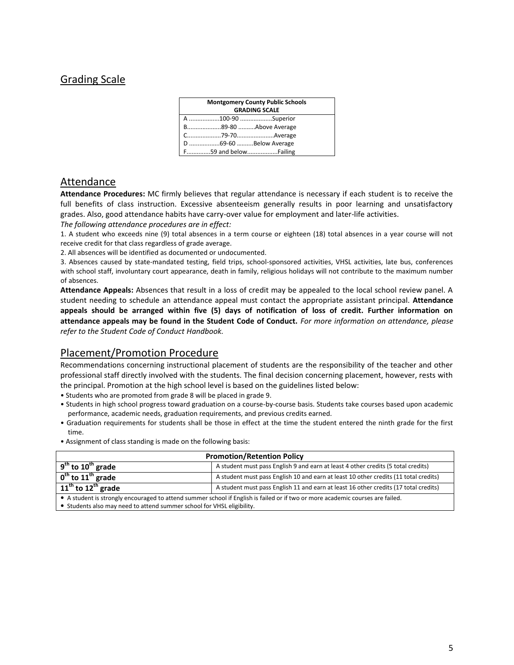## Grading Scale

| <b>Montgomery County Public Schools</b> |  |
|-----------------------------------------|--|
| <b>GRADING SCALE</b>                    |  |
| A 100-90 Superior                       |  |
| B89-80 Above Average                    |  |
|                                         |  |
| D 69-60 Below Average                   |  |
|                                         |  |

## <span id="page-5-0"></span>Attendance

**Attendance Procedures:** MC firmly believes that regular attendance is necessary if each student is to receive the full benefits of class instruction. Excessive absenteeism generally results in poor learning and unsatisfactory grades. Also, good attendance habits have carry-over value for employment and later-life activities.

*The following attendance procedures are in effect:* 

1. A student who exceeds nine (9) total absences in a term course or eighteen (18) total absences in a year course will not receive credit for that class regardless of grade average.

2. All absences will be identified as documented or undocumented.

3. Absences caused by state-mandated testing, field trips, school-sponsored activities, VHSL activities, late bus, conferences with school staff, involuntary court appearance, death in family, religious holidays will not contribute to the maximum number of absences.

**Attendance Appeals:** Absences that result in a loss of credit may be appealed to the local school review panel. A student needing to schedule an attendance appeal must contact the appropriate assistant principal. **Attendance appeals should be arranged within five (5) days of notification of loss of credit. Further information on attendance appeals may be found in the Student Code of Conduct.** *For more information on attendance, please refer to the Student Code of Conduct Handbook.*

## Placement/Promotion Procedure

Recommendations concerning instructional placement of students are the responsibility of the teacher and other professional staff directly involved with the students. The final decision concerning placement, however, rests with the principal. Promotion at the high school level is based on the guidelines listed below:

• Students who are promoted from grade 8 will be placed in grade 9.

- Students in high school progress toward graduation on a course-by-course basis. Students take courses based upon academic performance, academic needs, graduation requirements, and previous credits earned.
- Graduation requirements for students shall be those in effect at the time the student entered the ninth grade for the first time.
- Assignment of class standing is made on the following basis:

|                                                                        | <b>Promotion/Retention Policy</b>                                                                                              |
|------------------------------------------------------------------------|--------------------------------------------------------------------------------------------------------------------------------|
| $9th$ to 10 <sup>th</sup> grade                                        | A student must pass English 9 and earn at least 4 other credits (5 total credits)                                              |
| $\overline{0^{th}}$ to $11^{th}$ grade                                 | A student must pass English 10 and earn at least 10 other credits (11 total credits)                                           |
| $11th$ to $12th$ grade                                                 | A student must pass English 11 and earn at least 16 other credits (17 total credits)                                           |
|                                                                        | • A student is strongly encouraged to attend summer school if English is failed or if two or more academic courses are failed. |
| • Students also may need to attend summer school for VHSL eligibility. |                                                                                                                                |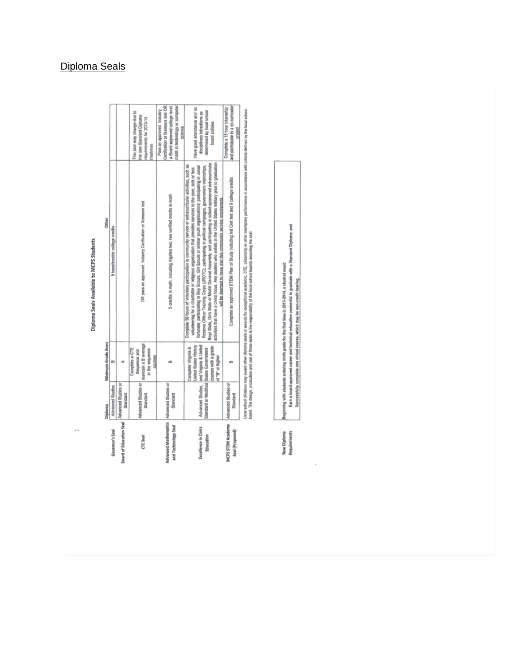# Diploma Seals Available to MCPS Students

|                                                                   | <b>Diploma</b>                                              | Minimum Grade Avera                                                                                                      | Other                                                                                                                                                                                                                                                                                                                                                                                                                                                                                                                                                                                                                                                                                                                                       |                                                                                                                                                 |
|-------------------------------------------------------------------|-------------------------------------------------------------|--------------------------------------------------------------------------------------------------------------------------|---------------------------------------------------------------------------------------------------------------------------------------------------------------------------------------------------------------------------------------------------------------------------------------------------------------------------------------------------------------------------------------------------------------------------------------------------------------------------------------------------------------------------------------------------------------------------------------------------------------------------------------------------------------------------------------------------------------------------------------------|-------------------------------------------------------------------------------------------------------------------------------------------------|
| Governor's Seal                                                   | Advanced Studies                                            | m                                                                                                                        | 9 transferrable college credits                                                                                                                                                                                                                                                                                                                                                                                                                                                                                                                                                                                                                                                                                                             |                                                                                                                                                 |
| <b>Board of Education Seal</b>                                    | Advanced Studies or<br>Standard                             |                                                                                                                          |                                                                                                                                                                                                                                                                                                                                                                                                                                                                                                                                                                                                                                                                                                                                             |                                                                                                                                                 |
| CTE Seal                                                          | Advanced Studies or<br>Standard                             | maintain a B average<br>Complete a CTE<br>in the sequence<br>Sequence and<br>COUTSIDS                                    | OR pass an approved Industry Cerification or licensure test                                                                                                                                                                                                                                                                                                                                                                                                                                                                                                                                                                                                                                                                                 | This seal may change due to<br>the new Standard Diploma<br>requirements for 2013-14<br>reshmen                                                  |
| Advanced Mathematics   Advanced Studies or<br>and Technology Seal | <b>Standard</b>                                             | B                                                                                                                        | 5 credits in math, including Algebra two; two verified credits in math                                                                                                                                                                                                                                                                                                                                                                                                                                                                                                                                                                                                                                                                      | credit in technology or computer<br>Cerification or licensure test OR<br>a Board approved college level<br>Pass an approved Industry<br>science |
| Excellence in Civics<br>Education                                 | Standard or Modified States Government<br>Advanced Studies, | and Virginia & United<br><b>United States History</b><br>courses with a grade<br>Complete Virginia &<br>of 'B' or higher | activities that have a civics focus. Any student who entists in the United States military prior to graduation<br>Boys State, Girls State or Model General Assembly, and participating in school-sponsored extracurricular<br>Complete 50 hours of voluntary participation in community service or extracurricular activities, such as<br>fortunate; participating in Boy Scouts, Girl Scouts or similar youth organizations; participating in Junior<br>Reserve Officer Training Corps (JROTC); participating in political campaigns, government internships,<br>volunteering for a charilable or religious organization that provides services to the poor, sick or less<br>will be deemed to have met this community service requirement | Have good attendance and no<br>determined by local school<br>disciplinary infractions as<br>board policies.                                     |
| MCPS STEM Academy<br>Seal (Proposed)                              | Advanced Studies or<br>Standard                             | œ                                                                                                                        | Complete an approved STEM Plan of Study including Ind Cert test and 9 college credits                                                                                                                                                                                                                                                                                                                                                                                                                                                                                                                                                                                                                                                       | and participate in a co-curricular<br>Complete a 15 hour internship<br>project                                                                  |
|                                                                   |                                                             |                                                                                                                          | Local school divisions may also diploma search or paradictive expected academic. CTE: citereship or chec exemplary performance in accordance with criteria defined by the local orbitol                                                                                                                                                                                                                                                                                                                                                                                                                                                                                                                                                     |                                                                                                                                                 |

uses exceed emments may enviro every experise seaso is environ as exceptions exercising, or in, concentrative on one exemplary per<br>board. The design, production and use of those seals is the responsibility of the local sch

New Diploma<br>Requirements

ning with students entering ninth grade for the first time in 2013-2014, a student must:<br>Earn a board-approved career and technical education credential to graduate with a Standard Diploms; and<br>Successfully complete one vi

# <span id="page-6-0"></span>Diploma Seals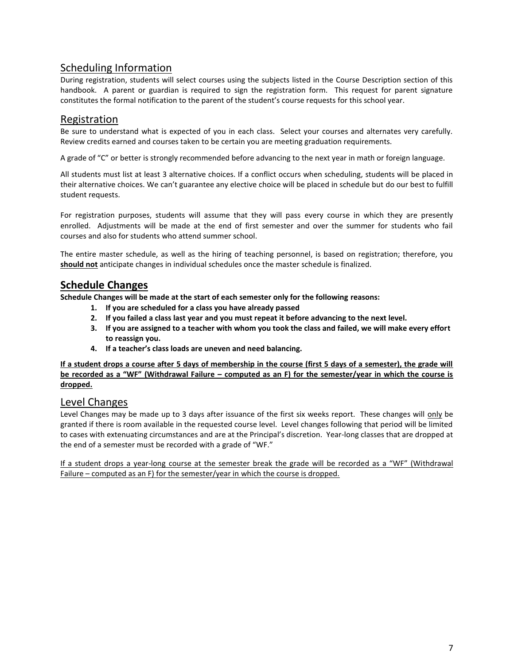## <span id="page-7-0"></span>Scheduling Information

During registration, students will select courses using the subjects listed in the Course Description section of this handbook. A parent or guardian is required to sign the registration form. This request for parent signature constitutes the formal notification to the parent of the student's course requests for this school year.

## Registration

Be sure to understand what is expected of you in each class. Select your courses and alternates very carefully. Review credits earned and courses taken to be certain you are meeting graduation requirements.

A grade of "C" or better is strongly recommended before advancing to the next year in math or foreign language.

All students must list at least 3 alternative choices. If a conflict occurs when scheduling, students will be placed in their alternative choices. We can't guarantee any elective choice will be placed in schedule but do our best to fulfill student requests.

For registration purposes, students will assume that they will pass every course in which they are presently enrolled. Adjustments will be made at the end of first semester and over the summer for students who fail courses and also for students who attend summer school.

The entire master schedule, as well as the hiring of teaching personnel, is based on registration; therefore, you **should not** anticipate changes in individual schedules once the master schedule is finalized.

## <span id="page-7-1"></span>**Schedule Changes**

**Schedule Changes will be made at the start of each semester only for the following reasons:**

- **1. If you are scheduled for a class you have already passed**
- **2. If you failed a class last year and you must repeat it before advancing to the next level.**
- **3. If you are assigned to a teacher with whom you took the class and failed, we will make every effort to reassign you.**
- **4. If a teacher's class loads are uneven and need balancing.**

**If a student drops a course after 5 days of membership in the course (first 5 days of a semester), the grade will be recorded as a "WF" (Withdrawal Failure – computed as an F) for the semester/year in which the course is dropped.** 

## <span id="page-7-2"></span>Level Changes

Level Changes may be made up to 3 days after issuance of the first six weeks report. These changes will only be granted if there is room available in the requested course level. Level changes following that period will be limited to cases with extenuating circumstances and are at the Principal's discretion. Year-long classes that are dropped at the end of a semester must be recorded with a grade of "WF."

If a student drops a year-long course at the semester break the grade will be recorded as a "WF" (Withdrawal Failure – computed as an F) for the semester/year in which the course is dropped.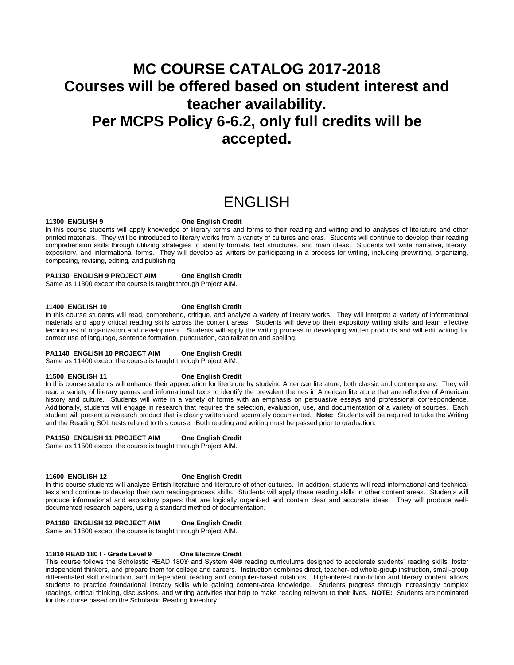# **MC COURSE CATALOG 2017-2018 Courses will be offered based on student interest and teacher availability. Per MCPS Policy 6-6.2, only full credits will be accepted.**

# ENGLISH

#### <span id="page-8-0"></span>**11300 ENGLISH 9 One English Credit**

In this course students will apply knowledge of literary terms and forms to their reading and writing and to analyses of literature and other printed materials. They will be introduced to literary works from a variety of cultures and eras. Students will continue to develop their reading comprehension skills through utilizing strategies to identify formats, text structures, and main ideas. Students will write narrative, literary, expository, and informational forms. They will develop as writers by participating in a process for writing, including prewriting, organizing, composing, revising, editing, and publishing

#### **PA1130 ENGLISH 9 PROJECT AIM One English Credit**

Same as 11300 except the course is taught through Project AIM.

#### **11400 ENGLISH 10 One English Credit**

In this course students will read, comprehend, critique, and analyze a variety of literary works. They will interpret a variety of informational materials and apply critical reading skills across the content areas. Students will develop their expository writing skills and learn effective techniques of organization and development. Students will apply the writing process in developing written products and will edit writing for correct use of language, sentence formation, punctuation, capitalization and spelling.

#### **PA1140 ENGLISH 10 PROJECT AIM One English Credit**

Same as 11400 except the course is taught through Project AIM.

#### **11500 ENGLISH 11 One English Credit**

In this course students will enhance their appreciation for literature by studying American literature, both classic and contemporary. They will read a variety of literary genres and informational texts to identify the prevalent themes in American literature that are reflective of American history and culture. Students will write in a variety of forms with an emphasis on persuasive essays and professional correspondence. Additionally, students will engage in research that requires the selection, evaluation, use, and documentation of a variety of sources. Each student will present a research product that is clearly written and accurately documented. **Note:** Students will be required to take the Writing and the Reading SOL tests related to this course. Both reading and writing must be passed prior to graduation.

#### **PA1150 ENGLISH 11 PROJECT AIM One English Credit**

Same as 11500 except the course is taught through Project AIM.

#### **11600 ENGLISH 12 One English Credit**

In this course students will analyze British literature and literature of other cultures. In addition, students will read informational and technical texts and continue to develop their own reading-process skills. Students will apply these reading skills in other content areas. Students will produce informational and expository papers that are logically organized and contain clear and accurate ideas. They will produce welldocumented research papers, using a standard method of documentation.

#### **PA1160 ENGLISH 12 PROJECT AIM One English Credit**

Same as 11600 except the course is taught through Project AIM.

#### **11810 READ 180 I - Grade Level 9 One Elective Credit**

This course follows the Scholastic READ 180® and System 44® reading curriculums designed to accelerate students' reading skills, foster independent thinkers, and prepare them for college and careers. Instruction combines direct, teacher-led whole-group instruction, small-group differentiated skill instruction, and independent reading and computer-based rotations. High-interest non-fiction and literary content allows students to practice foundational literacy skills while gaining content-area knowledge. Students progress through increasingly complex readings, critical thinking, discussions, and writing activities that help to make reading relevant to their lives. **NOTE:** Students are nominated for this course based on the Scholastic Reading Inventory.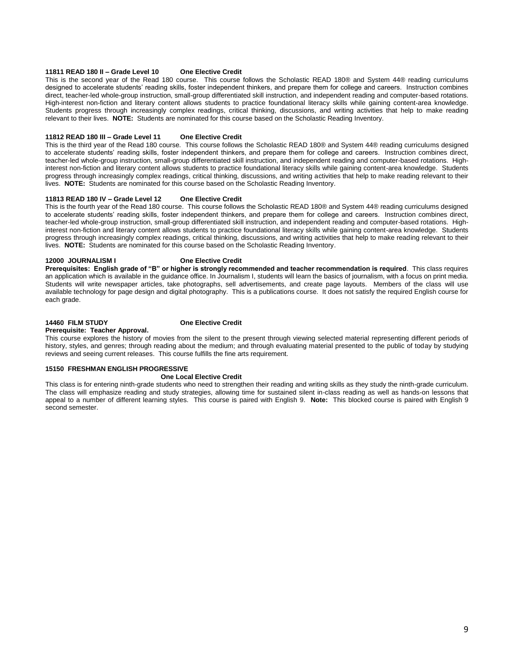#### **11811 READ 180 II – Grade Level 10 One Elective Credit**

This is the second year of the Read 180 course. This course follows the Scholastic READ 180® and System 44® reading curriculums designed to accelerate students' reading skills, foster independent thinkers, and prepare them for college and careers. Instruction combines direct, teacher-led whole-group instruction, small-group differentiated skill instruction, and independent reading and computer-based rotations. High-interest non-fiction and literary content allows students to practice foundational literacy skills while gaining content-area knowledge. Students progress through increasingly complex readings, critical thinking, discussions, and writing activities that help to make reading relevant to their lives. **NOTE:** Students are nominated for this course based on the Scholastic Reading Inventory.

#### **11812 READ 180 III – Grade Level 11 One Elective Credit**

This is the third year of the Read 180 course. This course follows the Scholastic READ 180® and System 44® reading curriculums designed to accelerate students' reading skills, foster independent thinkers, and prepare them for college and careers. Instruction combines direct, teacher-led whole-group instruction, small-group differentiated skill instruction, and independent reading and computer-based rotations. Highinterest non-fiction and literary content allows students to practice foundational literacy skills while gaining content-area knowledge. Students progress through increasingly complex readings, critical thinking, discussions, and writing activities that help to make reading relevant to their lives. **NOTE:** Students are nominated for this course based on the Scholastic Reading Inventory.

#### **11813 READ 180 IV – Grade Level 12 One Elective Credit**

This is the fourth year of the Read 180 course. This course follows the Scholastic READ 180® and System 44® reading curriculums designed to accelerate students' reading skills, foster independent thinkers, and prepare them for college and careers. Instruction combines direct, teacher-led whole-group instruction, small-group differentiated skill instruction, and independent reading and computer-based rotations. Highinterest non-fiction and literary content allows students to practice foundational literacy skills while gaining content-area knowledge. Students progress through increasingly complex readings, critical thinking, discussions, and writing activities that help to make reading relevant to their lives. **NOTE:** Students are nominated for this course based on the Scholastic Reading Inventory.

#### **12000 JOURNALISM I One Elective Credit**

**Prerequisites: English grade of "B" or higher is strongly recommended and teacher recommendation is required**. This class requires an application which is available in the guidance office. In Journalism I, students will learn the basics of journalism, with a focus on print media. Students will write newspaper articles, take photographs, sell advertisements, and create page layouts. Members of the class will use available technology for page design and digital photography. This is a publications course. It does not satisfy the required English course for each grade.

#### **14460 FILM STUDY One Elective Credit Prerequisite: Teacher Approval.**

This course explores the history of movies from the silent to the present through viewing selected material representing different periods of history, styles, and genres; through reading about the medium; and through evaluating material presented to the public of today by studying reviews and seeing current releases. This course fulfills the fine arts requirement.

#### **15150 FRESHMAN ENGLISH PROGRESSIVE**

#### **One Local Elective Credit**

This class is for entering ninth-grade students who need to strengthen their reading and writing skills as they study the ninth-grade curriculum. The class will emphasize reading and study strategies, allowing time for sustained silent in-class reading as well as hands-on lessons that appeal to a number of different learning styles. This course is paired with English 9. **Note:** This blocked course is paired with English 9 second semester.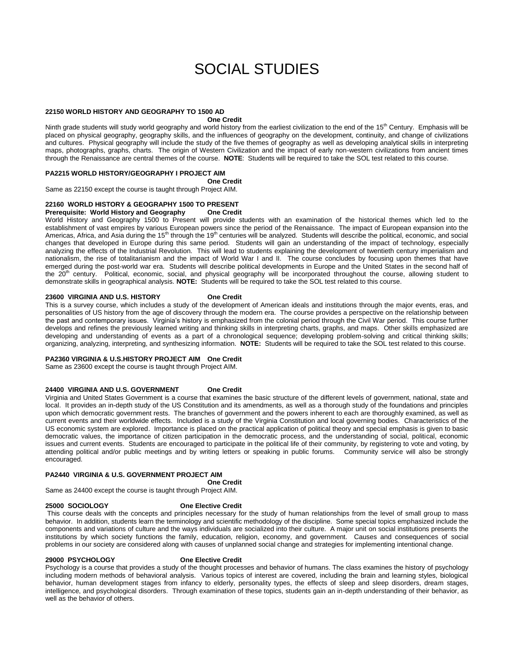# SOCIAL STUDIES

#### <span id="page-10-0"></span>**22150 WORLD HISTORY AND GEOGRAPHY TO 1500 AD**

#### **One Credit**

Ninth grade students will study world geography and world history from the earliest civilization to the end of the 15<sup>th</sup> Century. Emphasis will be placed on physical geography, geography skills, and the influences of geography on the development, continuity, and change of civilizations and cultures. Physical geography will include the study of the five themes of geography as well as developing analytical skills in interpreting maps, photographs, graphs, charts. The origin of Western Civilization and the impact of early non-western civilizations from ancient times through the Renaissance are central themes of the course. **NOTE**: Students will be required to take the SOL test related to this course.

#### **PA2215 WORLD HISTORY/GEOGRAPHY I PROJECT AIM**

**One Credit**

Same as 22150 except the course is taught through Project AIM.

## **22160 WORLD HISTORY & GEOGRAPHY 1500 TO PRESENT**

**Prerequisite: World History and Geography One Credit**

World History and Geography 1500 to Present will provide students with an examination of the historical themes which led to the establishment of vast empires by various European powers since the period of the Renaissance. The impact of European expansion into the Americas, Africa, and Asia during the 15<sup>th</sup> through the 19<sup>th</sup> centuries will be analyzed. Students will describe the political, economic, and social changes that developed in Europe during this same period. Students will gain an understanding of the impact of technology, especially analyzing the effects of the Industrial Revolution. This will lead to students explaining the development of twentieth century imperialism and nationalism, the rise of totalitarianism and the impact of World War I and II. The course concludes by focusing upon themes that have emerged during the post-world war era. Students will describe political developments in Europe and the United States in the second half of the 20<sup>th</sup> century. Political, economic, social, and physical geography will be incorporated throughout the course, allowing student to demonstrate skills in geographical analysis. **NOTE:** Students will be required to take the SOL test related to this course.

#### **23600 VIRGINIA AND U.S. HISTORY One Credit**

This is a survey course, which includes a study of the development of American ideals and institutions through the major events, eras, and personalities of US history from the age of discovery through the modern era. The course provides a perspective on the relationship between the past and contemporary issues. Virginia's history is emphasized from the colonial period through the Civil War period. This course further develops and refines the previously learned writing and thinking skills in interpreting charts, graphs, and maps. Other skills emphasized are developing and understanding of events as a part of a chronological sequence; developing problem-solving and critical thinking skills; organizing, analyzing, interpreting, and synthesizing information. **NOTE:** Students will be required to take the SOL test related to this course.

#### **PA2360 VIRGINIA & U.S.HISTORY PROJECT AIM One Credit**

Same as 23600 except the course is taught through Project AIM.

#### **24400 VIRGINIA AND U.S. GOVERNMENT One Credit**

Virginia and United States Government is a course that examines the basic structure of the different levels of government, national, state and local. It provides an in-depth study of the US Constitution and its amendments, as well as a thorough study of the foundations and principles upon which democratic government rests. The branches of government and the powers inherent to each are thoroughly examined, as well as current events and their worldwide effects. Included is a study of the Virginia Constitution and local governing bodies. Characteristics of the US economic system are explored. Importance is placed on the practical application of political theory and special emphasis is given to basic democratic values, the importance of citizen participation in the democratic process, and the understanding of social, political, economic issues and current events. Students are encouraged to participate in the political life of their community, by registering to vote and voting, by attending political and/or public meetings and by writing letters or speaking in public forums. Community service will also be strongly encouraged.

## **PA2440 VIRGINIA & U.S. GOVERNMENT PROJECT AIM**

**One Credit** Same as 24400 except the course is taught through Project AIM.

#### **25000 SOCIOLOGY One Elective Credit**

This course deals with the concepts and principles necessary for the study of human relationships from the level of small group to mass behavior. In addition, students learn the terminology and scientific methodology of the discipline. Some special topics emphasized include the components and variations of culture and the ways individuals are socialized into their culture. A major unit on social institutions presents the institutions by which society functions the family, education, religion, economy, and government. Causes and consequences of social problems in our society are considered along with causes of unplanned social change and strategies for implementing intentional change.

#### **29000 PSYCHOLOGY One Elective Credit**

Psychology is a course that provides a study of the thought processes and behavior of humans. The class examines the history of psychology including modern methods of behavioral analysis. Various topics of interest are covered, including the brain and learning styles, biological behavior, human development stages from infancy to elderly, personality types, the effects of sleep and sleep disorders, dream stages, intelligence, and psychological disorders. Through examination of these topics, students gain an in-depth understanding of their behavior, as well as the behavior of others.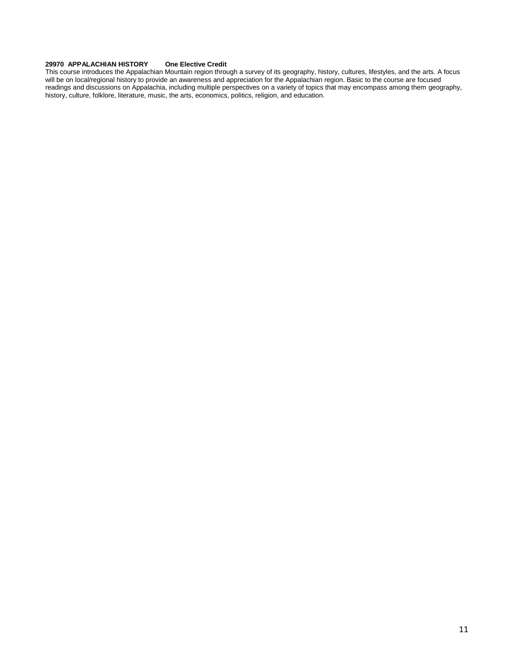#### **29970 APPALACHIAN HISTORY One Elective Credit**

This course introduces the Appalachian Mountain region through a survey of its geography, history, cultures, lifestyles, and the arts. A focus will be on local/regional history to provide an awareness and appreciation for the Appalachian region. Basic to the course are focused readings and discussions on Appalachia, including multiple perspectives on a variety of topics that may encompass among them geography, history, culture, folklore, literature, music, the arts, economics, politics, religion, and education.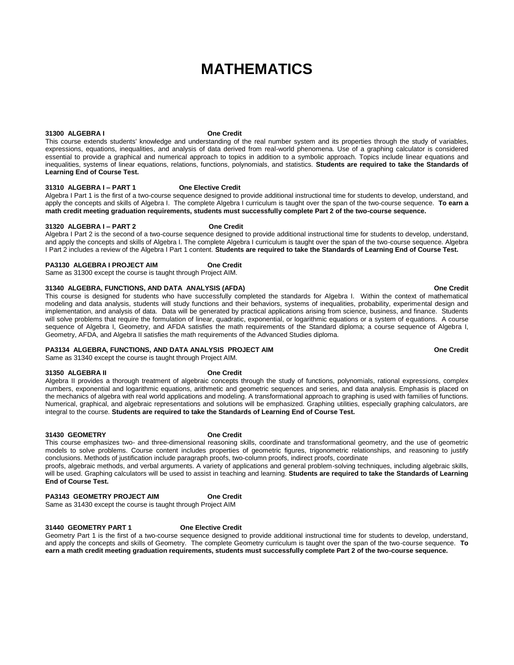# **MATHEMATICS**

#### **31300 ALGEBRA I One Credit**

This course extends students' knowledge and understanding of the real number system and its properties through the study of variables, expressions, equations, inequalities, and analysis of data derived from real-world phenomena. Use of a graphing calculator is considered essential to provide a graphical and numerical approach to topics in addition to a symbolic approach. Topics include linear equations and inequalities, systems of linear equations, relations, functions, polynomials, and statistics. **Students are required to take the Standards of Learning End of Course Test.** 

#### **31310 ALGEBRA I – PART 1 One Elective Credit**

Algebra I Part 1 is the first of a two-course sequence designed to provide additional instructional time for students to develop, understand, and apply the concepts and skills of Algebra I. The complete Algebra I curriculum is taught over the span of the two-course sequence. **To earn a math credit meeting graduation requirements, students must successfully complete Part 2 of the two-course sequence.**

#### **31320 ALGEBRA I – PART 2 One Credit**

Algebra I Part 2 is the second of a two-course sequence designed to provide additional instructional time for students to develop, understand, and apply the concepts and skills of Algebra I. The complete Algebra I curriculum is taught over the span of the two-course sequence. Algebra I Part 2 includes a review of the Algebra I Part 1 content. **Students are required to take the Standards of Learning End of Course Test.**

#### **PA3130 ALGEBRA I PROJECT AIM One Credit**

Same as 31300 except the course is taught through Project AIM.

#### **31340 ALGEBRA, FUNCTIONS, AND DATA ANALYSIS (AFDA) One Credit**

This course is designed for students who have successfully completed the standards for Algebra I. Within the context of mathematical modeling and data analysis, students will study functions and their behaviors, systems of inequalities, probability, experimental design and implementation, and analysis of data. Data will be generated by practical applications arising from science, business, and finance. Students will solve problems that require the formulation of linear, quadratic, exponential, or logarithmic equations or a system of equations. A course sequence of Algebra I, Geometry, and AFDA satisfies the math requirements of the Standard diploma; a course sequence of Algebra I, Geometry, AFDA, and Algebra II satisfies the math requirements of the Advanced Studies diploma.

#### **PA3134 ALGEBRA, FUNCTIONS, AND DATA ANALYSIS PROJECT AIM One Credit**

Same as 31340 except the course is taught through Project AIM.

#### **31350 ALGEBRA II One Credit**

Algebra II provides a thorough treatment of algebraic concepts through the study of functions, polynomials, rational expressions, complex numbers, exponential and logarithmic equations, arithmetic and geometric sequences and series, and data analysis. Emphasis is placed on the mechanics of algebra with real world applications and modeling. A transformational approach to graphing is used with families of functions. Numerical, graphical, and algebraic representations and solutions will be emphasized. Graphing utilities, especially graphing calculators, are integral to the course. **Students are required to take the Standards of Learning End of Course Test.**

#### **31430 GEOMETRY One Credit**

This course emphasizes two- and three-dimensional reasoning skills, coordinate and transformational geometry, and the use of geometric models to solve problems. Course content includes properties of geometric figures, trigonometric relationships, and reasoning to justify conclusions. Methods of justification include paragraph proofs, two-column proofs, indirect proofs, coordinate

proofs, algebraic methods, and verbal arguments. A variety of applications and general problem-solving techniques, including algebraic skills, will be used. Graphing calculators will be used to assist in teaching and learning. **Students are required to take the Standards of Learning End of Course Test.**

#### **PA3143 GEOMETRY PROJECT AIM One Credit**

Same as 31430 except the course is taught through Project AIM

#### **31440 GEOMETRY PART 1 One Elective Credit**

Geometry Part 1 is the first of a two-course sequence designed to provide additional instructional time for students to develop, understand, and apply the concepts and skills of Geometry. The complete Geometry curriculum is taught over the span of the two-course sequence. **To earn a math credit meeting graduation requirements, students must successfully complete Part 2 of the two-course sequence.**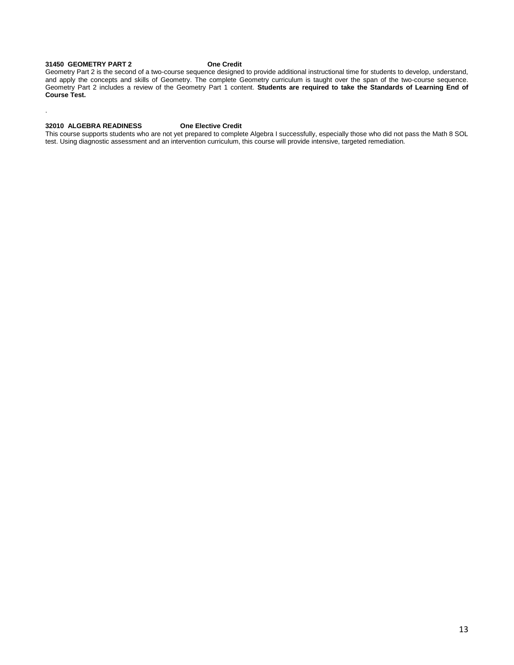#### **31450 GEOMETRY PART 2 One Credit**

.

Geometry Part 2 is the second of a two-course sequence designed to provide additional instructional time for students to develop, understand, and apply the concepts and skills of Geometry. The complete Geometry curriculum is taught over the span of the two-course sequence. Geometry Part 2 includes a review of the Geometry Part 1 content. **Students are required to take the Standards of Learning End of Course Test.**

#### **32010 ALGEBRA READINESS One Elective Credit**

This course supports students who are not yet prepared to complete Algebra I successfully, especially those who did not pass the Math 8 SOL test. Using diagnostic assessment and an intervention curriculum, this course will provide intensive, targeted remediation.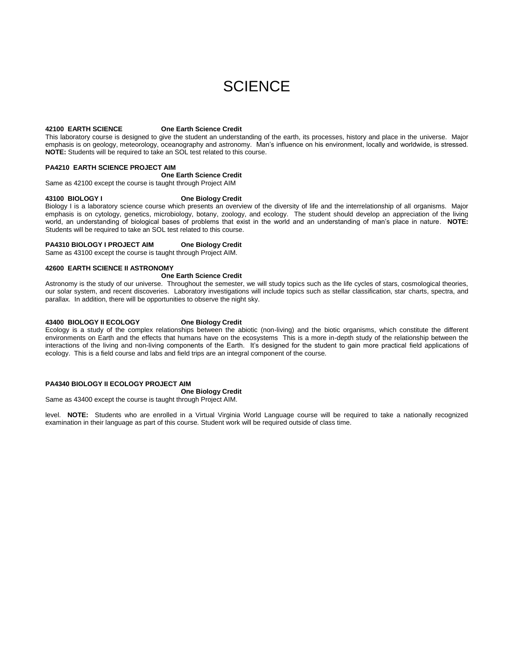# **SCIENCE**

#### <span id="page-14-0"></span>**42100 EARTH SCIENCE One Earth Science Credit**

This laboratory course is designed to give the student an understanding of the earth, its processes, history and place in the universe. Major emphasis is on geology, meteorology, oceanography and astronomy. Man's influence on his environment, locally and worldwide, is stressed. **NOTE:** Students will be required to take an SOL test related to this course.

#### **PA4210 EARTH SCIENCE PROJECT AIM**

#### **One Earth Science Credit**

Same as 42100 except the course is taught through Project AIM

#### **43100 BIOLOGY I One Biology Credit**

Biology I is a laboratory science course which presents an overview of the diversity of life and the interrelationship of all organisms. Major emphasis is on cytology, genetics, microbiology, botany, zoology, and ecology. The student should develop an appreciation of the living world, an understanding of biological bases of problems that exist in the world and an understanding of man's place in nature. **NOTE:** Students will be required to take an SOL test related to this course.

#### **PA4310 BIOLOGY I PROJECT AIM One Biology Credit**

Same as 43100 except the course is taught through Project AIM.

#### **42600 EARTH SCIENCE II ASTRONOMY**

#### **One Earth Science Credit**

Astronomy is the study of our universe. Throughout the semester, we will study topics such as the life cycles of stars, cosmological theories, our solar system, and recent discoveries. Laboratory investigations will include topics such as stellar classification, star charts, spectra, and parallax. In addition, there will be opportunities to observe the night sky.

#### **43400 BIOLOGY II ECOLOGY One Biology Credit**

Ecology is a study of the complex relationships between the abiotic (non-living) and the biotic organisms, which constitute the different environments on Earth and the effects that humans have on the ecosystems This is a more in-depth study of the relationship between the interactions of the living and non-living components of the Earth. It's designed for the student to gain more practical field applications of ecology. This is a field course and labs and field trips are an integral component of the course.

#### **PA4340 BIOLOGY II ECOLOGY PROJECT AIM**

**One Biology Credit**

Same as 43400 except the course is taught through Project AIM.

level. **NOTE:** Students who are enrolled in a Virtual Virginia World Language course will be required to take a nationally recognized examination in their language as part of this course. Student work will be required outside of class time.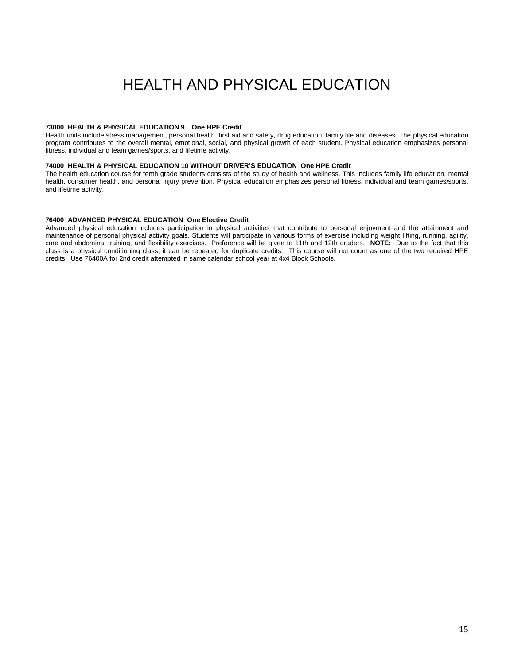# HEALTH AND PHYSICAL EDUCATION

#### <span id="page-15-0"></span>**73000 HEALTH & PHYSICAL EDUCATION 9 One HPE Credit**

Health units include stress management, personal health, first aid and safety, drug education, family life and diseases. The physical education program contributes to the overall mental, emotional, social, and physical growth of each student. Physical education emphasizes personal fitness, individual and team games/sports, and lifetime activity.

#### **74000 HEALTH & PHYSICAL EDUCATION 10 WITHOUT DRIVER'S EDUCATION One HPE Credit**

The health education course for tenth grade students consists of the study of health and wellness. This includes family life education, mental health, consumer health, and personal injury prevention. Physical education emphasizes personal fitness, individual and team games/sports, and lifetime activity.

#### **76400 ADVANCED PHYSICAL EDUCATION One Elective Credit**

Advanced physical education includes participation in physical activities that contribute to personal enjoyment and the attainment and maintenance of personal physical activity goals. Students will participate in various forms of exercise including weight lifting, running, agility, core and abdominal training, and flexibility exercises. Preference will be given to 11th and 12th graders. **NOTE:** Due to the fact that this class is a physical conditioning class, it can be repeated for duplicate credits. This course will not count as one of the two required HPE credits. Use 76400A for 2nd credit attempted in same calendar school year at 4x4 Block Schools.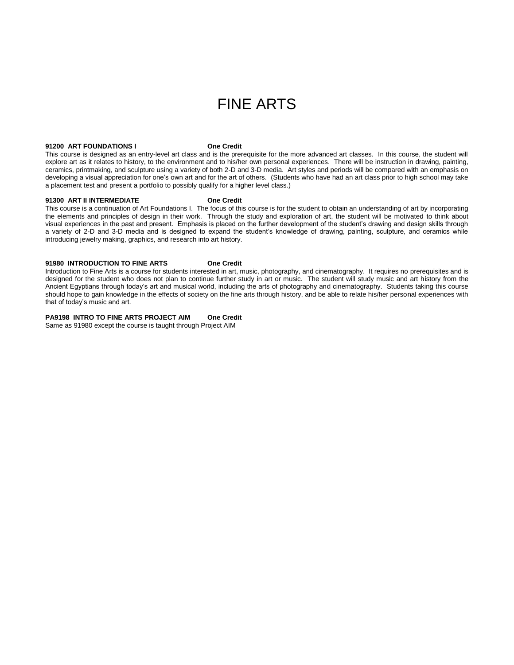# FINE ARTS

#### <span id="page-16-0"></span>**91200 ART FOUNDATIONS I One Credit**

This course is designed as an entry-level art class and is the prerequisite for the more advanced art classes. In this course, the student will explore art as it relates to history, to the environment and to his/her own personal experiences. There will be instruction in drawing, painting, ceramics, printmaking, and sculpture using a variety of both 2-D and 3-D media. Art styles and periods will be compared with an emphasis on developing a visual appreciation for one's own art and for the art of others. (Students who have had an art class prior to high school may take a placement test and present a portfolio to possibly qualify for a higher level class.)

#### **91300 ART II INTERMEDIATE One Credit**

This course is a continuation of Art Foundations I. The focus of this course is for the student to obtain an understanding of art by incorporating the elements and principles of design in their work. Through the study and exploration of art, the student will be motivated to think about visual experiences in the past and present. Emphasis is placed on the further development of the student's drawing and design skills through a variety of 2-D and 3-D media and is designed to expand the student's knowledge of drawing, painting, sculpture, and ceramics while introducing jewelry making, graphics, and research into art history.

#### **91980 INTRODUCTION TO FINE ARTS One Credit**

Introduction to Fine Arts is a course for students interested in art, music, photography, and cinematography. It requires no prerequisites and is designed for the student who does not plan to continue further study in art or music. The student will study music and art history from the Ancient Egyptians through today's art and musical world, including the arts of photography and cinematography. Students taking this course should hope to gain knowledge in the effects of society on the fine arts through history, and be able to relate his/her personal experiences with that of today's music and art.

#### **PA9198 INTRO TO FINE ARTS PROJECT AIM One Credit**

Same as 91980 except the course is taught through Project AIM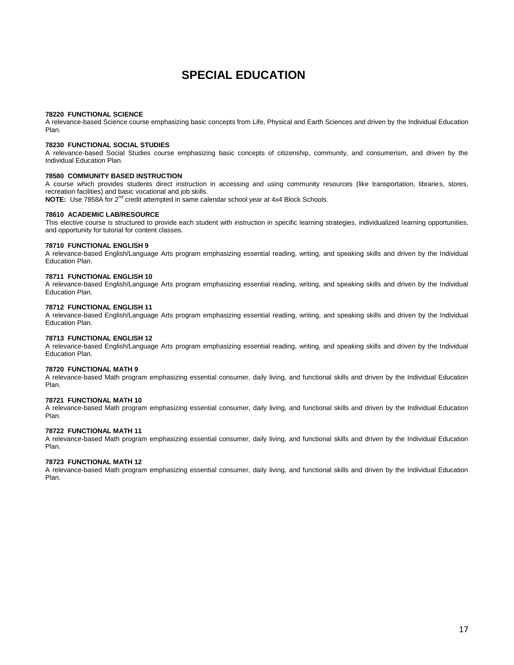## **SPECIAL EDUCATION**

#### **78220 FUNCTIONAL SCIENCE**

A relevance-based Science course emphasizing basic concepts from Life, Physical and Earth Sciences and driven by the Individual Education Plan.

#### **78230 FUNCTIONAL SOCIAL STUDIES**

A relevance-based Social Studies course emphasizing basic concepts of citizenship, community, and consumerism, and driven by the Individual Education Plan.

#### **78580 COMMUNITY BASED INSTRUCTION**

A course which provides students direct instruction in accessing and using community resources (like transportation, libraries, stores, recreation facilities) and basic vocational and job skills.

**NOTE:** Use 7858A for 2nd credit attempted in same calendar school year at 4x4 Block Schools.

#### **78610 ACADEMIC LAB/RESOURCE**

This elective course is structured to provide each student with instruction in specific learning strategies, individualized learning opportunities, and opportunity for tutorial for content classes.

#### **78710 FUNCTIONAL ENGLISH 9**

A relevance-based English/Language Arts program emphasizing essential reading, writing, and speaking skills and driven by the Individual Education Plan.

#### **78711 FUNCTIONAL ENGLISH 10**

A relevance-based English/Language Arts program emphasizing essential reading, writing, and speaking skills and driven by the Individual Education Plan.

#### **78712 FUNCTIONAL ENGLISH 11**

A relevance-based English/Language Arts program emphasizing essential reading, writing, and speaking skills and driven by the Individual Education Plan.

#### **78713 FUNCTIONAL ENGLISH 12**

A relevance-based English/Language Arts program emphasizing essential reading, writing, and speaking skills and driven by the Individual Education Plan.

#### **78720 FUNCTIONAL MATH 9**

A relevance-based Math program emphasizing essential consumer, daily living, and functional skills and driven by the Individual Education Plan.

#### **78721 FUNCTIONAL MATH 10**

A relevance-based Math program emphasizing essential consumer, daily living, and functional skills and driven by the Individual Education Plan.

#### **78722 FUNCTIONAL MATH 11**

A relevance-based Math program emphasizing essential consumer, daily living, and functional skills and driven by the Individual Education Plan.

#### **78723 FUNCTIONAL MATH 12**

A relevance-based Math program emphasizing essential consumer, daily living, and functional skills and driven by the Individual Education Plan.